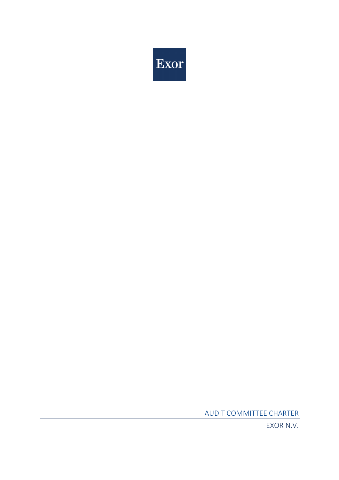

AUDIT COMMITTEE CHARTER

EXOR N.V.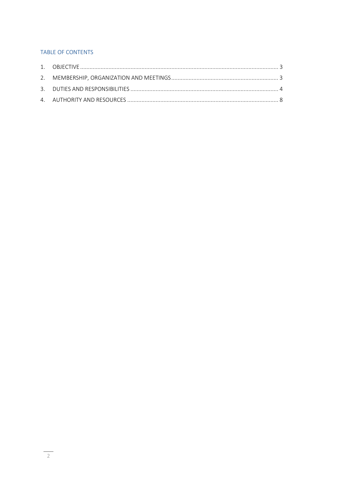# TABLE OF CONTENTS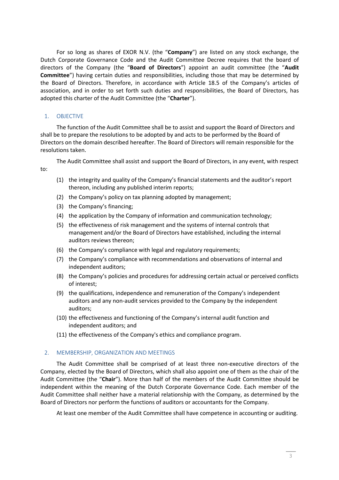For so long as shares of EXOR N.V. (the "**Company**") are listed on any stock exchange, the Dutch Corporate Governance Code and the Audit Committee Decree requires that the board of directors of the Company (the "**Board of Directors**") appoint an audit committee (the "**Audit Committee**") having certain duties and responsibilities, including those that may be determined by the Board of Directors. Therefore, in accordance with Article 18.5 of the Company's articles of association, and in order to set forth such duties and responsibilities, the Board of Directors, has adopted this charter of the Audit Committee (the "**Charter**").

## 1. OBJECTIVE

The function of the Audit Committee shall be to assist and support the Board of Directors and shall be to prepare the resolutions to be adopted by and acts to be performed by the Board of Directors on the domain described hereafter. The Board of Directors will remain responsible for the resolutions taken.

The Audit Committee shall assist and support the Board of Directors, in any event, with respect to:

- (1) the integrity and quality of the Company's financial statements and the auditor's report thereon, including any published interim reports;
- (2) the Company's policy on tax planning adopted by management;
- (3) the Company's financing;
- (4) the application by the Company of information and communication technology;
- (5) the effectiveness of risk management and the systems of internal controls that management and/or the Board of Directors have established, including the internal auditors reviews thereon;
- (6) the Company's compliance with legal and regulatory requirements;
- (7) the Company's compliance with recommendations and observations of internal and independent auditors;
- (8) the Company's policies and procedures for addressing certain actual or perceived conflicts of interest;
- (9) the qualifications, independence and remuneration of the Company's independent auditors and any non-audit services provided to the Company by the independent auditors;
- (10) the effectiveness and functioning of the Company's internal audit function and independent auditors; and
- (11) the effectiveness of the Company's ethics and compliance program.

## 2. MEMBERSHIP, ORGANIZATION AND MEETINGS

The Audit Committee shall be comprised of at least three non-executive directors of the Company, elected by the Board of Directors, which shall also appoint one of them as the chair of the Audit Committee (the "**Chair**"). More than half of the members of the Audit Committee should be independent within the meaning of the Dutch Corporate Governance Code. Each member of the Audit Committee shall neither have a material relationship with the Company, as determined by the Board of Directors nor perform the functions of auditors or accountants for the Company.

At least one member of the Audit Committee shall have competence in accounting or auditing.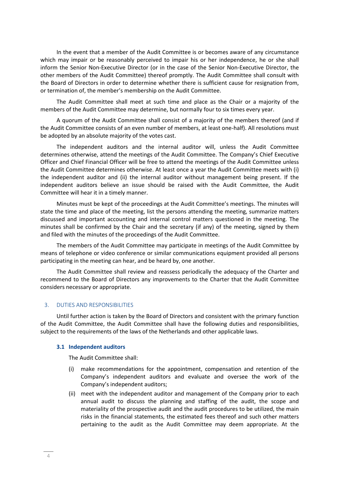In the event that a member of the Audit Committee is or becomes aware of any circumstance which may impair or be reasonably perceived to impair his or her independence, he or she shall inform the Senior Non-Executive Director (or in the case of the Senior Non-Executive Director, the other members of the Audit Committee) thereof promptly. The Audit Committee shall consult with the Board of Directors in order to determine whether there is sufficient cause for resignation from, or termination of, the member's membership on the Audit Committee.

The Audit Committee shall meet at such time and place as the Chair or a majority of the members of the Audit Committee may determine, but normally four to six times every year.

A quorum of the Audit Committee shall consist of a majority of the members thereof (and if the Audit Committee consists of an even number of members, at least one-half). All resolutions must be adopted by an absolute majority of the votes cast.

The independent auditors and the internal auditor will, unless the Audit Committee determines otherwise, attend the meetings of the Audit Committee. The Company's Chief Executive Officer and Chief Financial Officer will be free to attend the meetings of the Audit Committee unless the Audit Committee determines otherwise. At least once a year the Audit Committee meets with (i) the independent auditor and (ii) the internal auditor without management being present. If the independent auditors believe an issue should be raised with the Audit Committee, the Audit Committee will hear it in a timely manner.

Minutes must be kept of the proceedings at the Audit Committee's meetings. The minutes will state the time and place of the meeting, list the persons attending the meeting, summarize matters discussed and important accounting and internal control matters questioned in the meeting. The minutes shall be confirmed by the Chair and the secretary (if any) of the meeting, signed by them and filed with the minutes of the proceedings of the Audit Committee.

The members of the Audit Committee may participate in meetings of the Audit Committee by means of telephone or video conference or similar communications equipment provided all persons participating in the meeting can hear, and be heard by, one another.

The Audit Committee shall review and reassess periodically the adequacy of the Charter and recommend to the Board of Directors any improvements to the Charter that the Audit Committee considers necessary or appropriate.

## 3. DUTIES AND RESPONSIBILITIES

Until further action is taken by the Board of Directors and consistent with the primary function of the Audit Committee, the Audit Committee shall have the following duties and responsibilities, subject to the requirements of the laws of the Netherlands and other applicable laws.

#### **3.1 Independent auditors**

The Audit Committee shall:

- (i) make recommendations for the appointment, compensation and retention of the Company's independent auditors and evaluate and oversee the work of the Company's independent auditors;
- (ii) meet with the independent auditor and management of the Company prior to each annual audit to discuss the planning and staffing of the audit, the scope and materiality of the prospective audit and the audit procedures to be utilized, the main risks in the financial statements, the estimated fees thereof and such other matters pertaining to the audit as the Audit Committee may deem appropriate. At the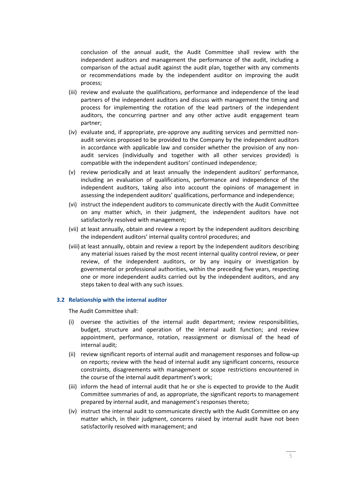conclusion of the annual audit, the Audit Committee shall review with the independent auditors and management the performance of the audit, including a comparison of the actual audit against the audit plan, together with any comments or recommendations made by the independent auditor on improving the audit process;

- (iii) review and evaluate the qualifications, performance and independence of the lead partners of the independent auditors and discuss with management the timing and process for implementing the rotation of the lead partners of the independent auditors, the concurring partner and any other active audit engagement team partner;
- (iv) evaluate and, if appropriate, pre-approve any auditing services and permitted nonaudit services proposed to be provided to the Company by the independent auditors in accordance with applicable law and consider whether the provision of any nonaudit services (individually and together with all other services provided) is compatible with the independent auditors' continued independence;
- (v) review periodically and at least annually the independent auditors' performance, including an evaluation of qualifications, performance and independence of the independent auditors, taking also into account the opinions of management in assessing the independent auditors' qualifications, performance and independence;
- (vi) instruct the independent auditors to communicate directly with the Audit Committee on any matter which, in their judgment, the independent auditors have not satisfactorily resolved with management;
- (vii) at least annually, obtain and review a report by the independent auditors describing the independent auditors' internal quality control procedures; and
- (viii) at least annually, obtain and review a report by the independent auditors describing any material issues raised by the most recent internal quality control review, or peer review, of the independent auditors, or by any inquiry or investigation by governmental or professional authorities, within the preceding five years, respecting one or more independent audits carried out by the independent auditors, and any steps taken to deal with any such issues.

#### **3.2 Relationship with the internal auditor**

The Audit Committee shall:

- (i) oversee the activities of the internal audit department; review responsibilities, budget, structure and operation of the internal audit function; and review appointment, performance, rotation, reassignment or dismissal of the head of internal audit;
- (ii) review significant reports of internal audit and management responses and follow-up on reports; review with the head of internal audit any significant concerns, resource constraints, disagreements with management or scope restrictions encountered in the course of the internal audit department's work;
- (iii) inform the head of internal audit that he or she is expected to provide to the Audit Committee summaries of and, as appropriate, the significant reports to management prepared by internal audit, and management's responses thereto;
- (iv) instruct the internal audit to communicate directly with the Audit Committee on any matter which, in their judgment, concerns raised by internal audit have not been satisfactorily resolved with management; and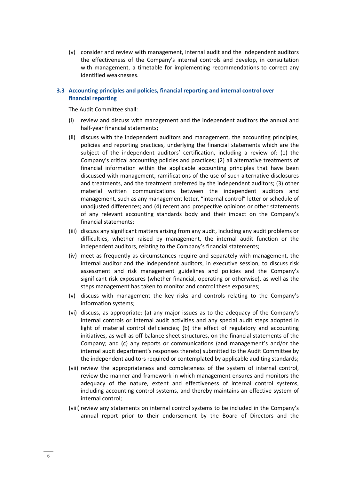(v) consider and review with management, internal audit and the independent auditors the effectiveness of the Company's internal controls and develop, in consultation with management, a timetable for implementing recommendations to correct any identified weaknesses.

## **3.3 Accounting principles and policies, financial reporting and internal control over financial reporting**

The Audit Committee shall:

- (i) review and discuss with management and the independent auditors the annual and half-year financial statements;
- (ii) discuss with the independent auditors and management, the accounting principles, policies and reporting practices, underlying the financial statements which are the subject of the independent auditors' certification, including a review of: (1) the Company's critical accounting policies and practices; (2) all alternative treatments of financial information within the applicable accounting principles that have been discussed with management, ramifications of the use of such alternative disclosures and treatments, and the treatment preferred by the independent auditors; (3) other material written communications between the independent auditors and management, such as any management letter, "internal control" letter or schedule of unadjusted differences; and (4) recent and prospective opinions or other statements of any relevant accounting standards body and their impact on the Company's financial statements;
- (iii) discuss any significant matters arising from any audit, including any audit problems or difficulties, whether raised by management, the internal audit function or the independent auditors, relating to the Company's financial statements;
- (iv) meet as frequently as circumstances require and separately with management, the internal auditor and the independent auditors, in executive session, to discuss risk assessment and risk management guidelines and policies and the Company's significant risk exposures (whether financial, operating or otherwise), as well as the steps management has taken to monitor and control these exposures;
- (v) discuss with management the key risks and controls relating to the Company's information systems;
- (vi) discuss, as appropriate: (a) any major issues as to the adequacy of the Company's internal controls or internal audit activities and any special audit steps adopted in light of material control deficiencies; (b) the effect of regulatory and accounting initiatives, as well as off-balance sheet structures, on the financial statements of the Company; and (c) any reports or communications (and management's and/or the internal audit department's responses thereto) submitted to the Audit Committee by the independent auditors required or contemplated by applicable auditing standards;
- (vii) review the appropriateness and completeness of the system of internal control, review the manner and framework in which management ensures and monitors the adequacy of the nature, extent and effectiveness of internal control systems, including accounting control systems, and thereby maintains an effective system of internal control;
- (viii) review any statements on internal control systems to be included in the Company's annual report prior to their endorsement by the Board of Directors and the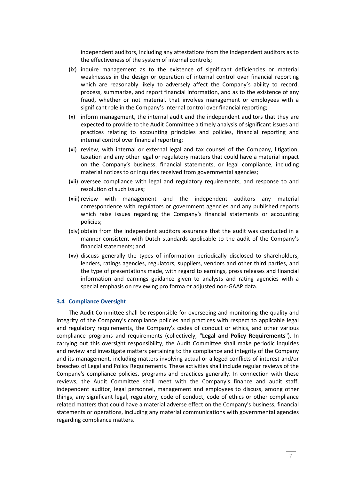independent auditors, including any attestations from the independent auditors as to the effectiveness of the system of internal controls;

- (ix) inquire management as to the existence of significant deficiencies or material weaknesses in the design or operation of internal control over financial reporting which are reasonably likely to adversely affect the Company's ability to record, process, summarize, and report financial information, and as to the existence of any fraud, whether or not material, that involves management or employees with a significant role in the Company's internal control over financial reporting;
- (x) inform management, the internal audit and the independent auditors that they are expected to provide to the Audit Committee a timely analysis of significant issues and practices relating to accounting principles and policies, financial reporting and internal control over financial reporting;
- (xi) review, with internal or external legal and tax counsel of the Company, litigation, taxation and any other legal or regulatory matters that could have a material impact on the Company's business, financial statements, or legal compliance, including material notices to or inquiries received from governmental agencies;
- (xii) oversee compliance with legal and regulatory requirements, and response to and resolution of such issues;
- (xiii) review with management and the independent auditors any material correspondence with regulators or government agencies and any published reports which raise issues regarding the Company's financial statements or accounting policies;
- (xiv) obtain from the independent auditors assurance that the audit was conducted in a manner consistent with Dutch standards applicable to the audit of the Company's financial statements; and
- (xv) discuss generally the types of information periodically disclosed to shareholders, lenders, ratings agencies, regulators, suppliers, vendors and other third parties, and the type of presentations made, with regard to earnings, press releases and financial information and earnings guidance given to analysts and rating agencies with a special emphasis on reviewing pro forma or adjusted non-GAAP data.

#### **3.4 Compliance Oversight**

The Audit Committee shall be responsible for overseeing and monitoring the quality and integrity of the Company's compliance policies and practices with respect to applicable legal and regulatory requirements, the Company's codes of conduct or ethics, and other various compliance programs and requirements (collectively, "**Legal and Policy Requirements**"). In carrying out this oversight responsibility, the Audit Committee shall make periodic inquiries and review and investigate matters pertaining to the compliance and integrity of the Company and its management, including matters involving actual or alleged conflicts of interest and/or breaches of Legal and Policy Requirements. These activities shall include regular reviews of the Company's compliance policies, programs and practices generally. In connection with these reviews, the Audit Committee shall meet with the Company's finance and audit staff, independent auditor, legal personnel, management and employees to discuss, among other things, any significant legal, regulatory, code of conduct, code of ethics or other compliance related matters that could have a material adverse effect on the Company's business, financial statements or operations, including any material communications with governmental agencies regarding compliance matters.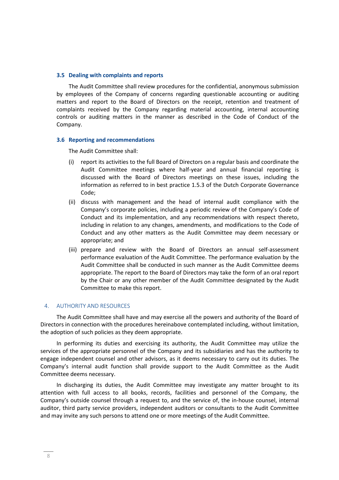#### **3.5 Dealing with complaints and reports**

The Audit Committee shall review procedures for the confidential, anonymous submission by employees of the Company of concerns regarding questionable accounting or auditing matters and report to the Board of Directors on the receipt, retention and treatment of complaints received by the Company regarding material accounting, internal accounting controls or auditing matters in the manner as described in the Code of Conduct of the Company.

#### **3.6 Reporting and recommendations**

The Audit Committee shall:

- (i) report its activities to the full Board of Directors on a regular basis and coordinate the Audit Committee meetings where half-year and annual financial reporting is discussed with the Board of Directors meetings on these issues, including the information as referred to in best practice 1.5.3 of the Dutch Corporate Governance Code;
- (ii) discuss with management and the head of internal audit compliance with the Company's corporate policies, including a periodic review of the Company's Code of Conduct and its implementation, and any recommendations with respect thereto, including in relation to any changes, amendments, and modifications to the Code of Conduct and any other matters as the Audit Committee may deem necessary or appropriate; and
- (iii) prepare and review with the Board of Directors an annual self-assessment performance evaluation of the Audit Committee. The performance evaluation by the Audit Committee shall be conducted in such manner as the Audit Committee deems appropriate. The report to the Board of Directors may take the form of an oral report by the Chair or any other member of the Audit Committee designated by the Audit Committee to make this report.

## 4. AUTHORITY AND RESOURCES

The Audit Committee shall have and may exercise all the powers and authority of the Board of Directors in connection with the procedures hereinabove contemplated including, without limitation, the adoption of such policies as they deem appropriate.

In performing its duties and exercising its authority, the Audit Committee may utilize the services of the appropriate personnel of the Company and its subsidiaries and has the authority to engage independent counsel and other advisors, as it deems necessary to carry out its duties. The Company's internal audit function shall provide support to the Audit Committee as the Audit Committee deems necessary.

In discharging its duties, the Audit Committee may investigate any matter brought to its attention with full access to all books, records, facilities and personnel of the Company, the Company's outside counsel through a request to, and the service of, the in-house counsel, internal auditor, third party service providers, independent auditors or consultants to the Audit Committee and may invite any such persons to attend one or more meetings of the Audit Committee.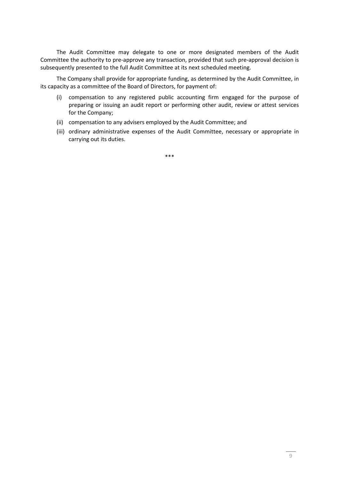The Audit Committee may delegate to one or more designated members of the Audit Committee the authority to pre-approve any transaction, provided that such pre-approval decision is subsequently presented to the full Audit Committee at its next scheduled meeting.

The Company shall provide for appropriate funding, as determined by the Audit Committee, in its capacity as a committee of the Board of Directors, for payment of:

- (i) compensation to any registered public accounting firm engaged for the purpose of preparing or issuing an audit report or performing other audit, review or attest services for the Company;
- (ii) compensation to any advisers employed by the Audit Committee; and
- (iii) ordinary administrative expenses of the Audit Committee, necessary or appropriate in carrying out its duties.

\*\*\*